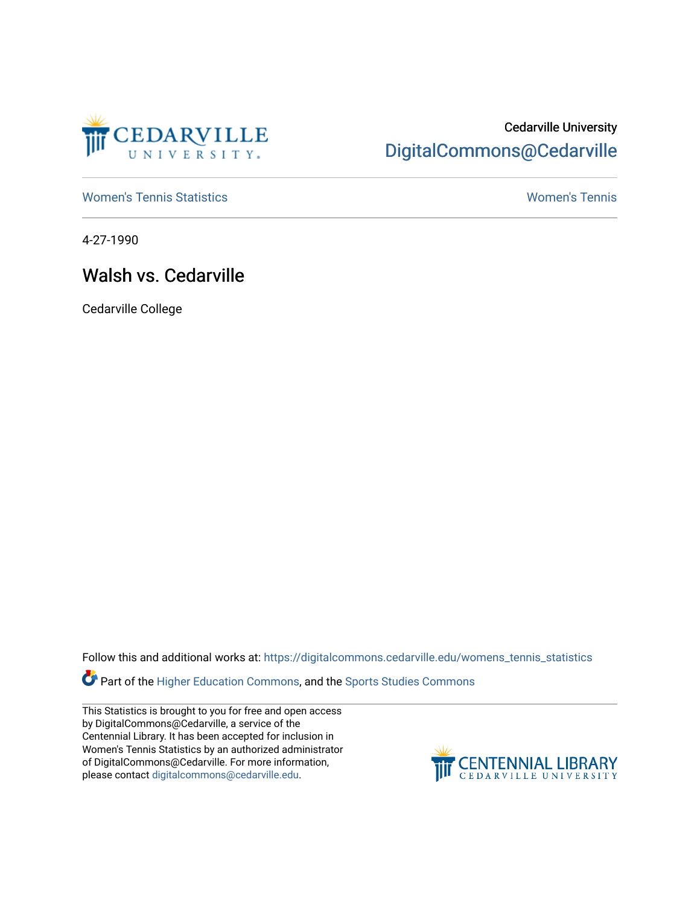

## Cedarville University [DigitalCommons@Cedarville](https://digitalcommons.cedarville.edu/)

[Women's Tennis Statistics](https://digitalcommons.cedarville.edu/womens_tennis_statistics) [Women's Tennis](https://digitalcommons.cedarville.edu/womens_tennis) 

4-27-1990

## Walsh vs. Cedarville

Cedarville College

Follow this and additional works at: [https://digitalcommons.cedarville.edu/womens\\_tennis\\_statistics](https://digitalcommons.cedarville.edu/womens_tennis_statistics?utm_source=digitalcommons.cedarville.edu%2Fwomens_tennis_statistics%2F113&utm_medium=PDF&utm_campaign=PDFCoverPages) 

Part of the [Higher Education Commons,](http://network.bepress.com/hgg/discipline/1245?utm_source=digitalcommons.cedarville.edu%2Fwomens_tennis_statistics%2F113&utm_medium=PDF&utm_campaign=PDFCoverPages) and the [Sports Studies Commons](http://network.bepress.com/hgg/discipline/1198?utm_source=digitalcommons.cedarville.edu%2Fwomens_tennis_statistics%2F113&utm_medium=PDF&utm_campaign=PDFCoverPages) 

This Statistics is brought to you for free and open access by DigitalCommons@Cedarville, a service of the Centennial Library. It has been accepted for inclusion in Women's Tennis Statistics by an authorized administrator of DigitalCommons@Cedarville. For more information, please contact [digitalcommons@cedarville.edu](mailto:digitalcommons@cedarville.edu).